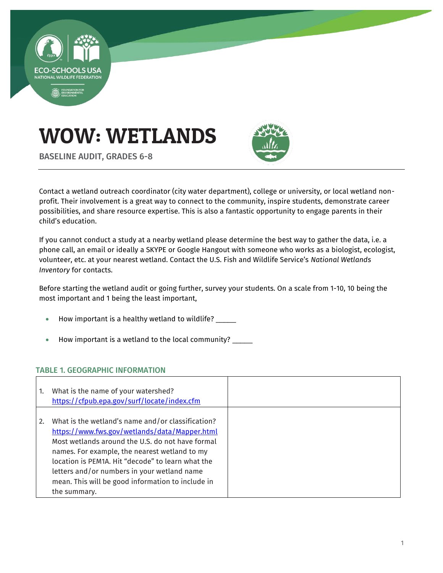

# WOW: WETLANDS



BASELINE AUDIT, GRADES 6-8

Contact a wetland outreach coordinator (city water department), college or university, or local wetland nonprofit. Their involvement is a great way to connect to the community, inspire students, demonstrate career possibilities, and share resource expertise. This is also a fantastic opportunity to engage parents in their child's education.

If you cannot conduct a study at a nearby wetland please determine the best way to gather the data, i.e. a phone call, an email or ideally a SKYPE or Google Hangout with someone who works as a biologist, ecologist, volunteer, etc. at your nearest wetland. Contact the U.S. Fish and Wildlife Service's *National Wetlands Inventory* for contacts.

Before starting the wetland audit or going further, survey your students. On a scale from 1-10, 10 being the most important and 1 being the least important,

- How important is a healthy wetland to wildlife?
- How important is a wetland to the local community? \_\_\_\_\_

## TABLE 1. GEOGRAPHIC INFORMATION

| 1. | What is the name of your watershed?<br>https://cfpub.epa.gov/surf/locate/index.cfm                                                                                                                                                                                                                                                                                               |  |
|----|----------------------------------------------------------------------------------------------------------------------------------------------------------------------------------------------------------------------------------------------------------------------------------------------------------------------------------------------------------------------------------|--|
| 2. | What is the wetland's name and/or classification?<br>https://www.fws.gov/wetlands/data/Mapper.html<br>Most wetlands around the U.S. do not have formal<br>names. For example, the nearest wetland to my<br>location is PFM1A. Hit "decode" to learn what the<br>letters and/or numbers in your wetland name<br>mean. This will be good information to include in<br>the summary. |  |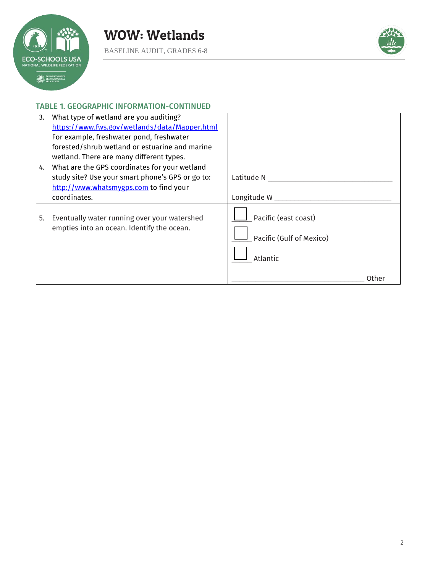



## TABLE 1. GEOGRAPHIC INFORMATION-CONTINUED

| 3. | What type of wetland are you auditing?           |                          |       |
|----|--------------------------------------------------|--------------------------|-------|
|    | https://www.fws.gov/wetlands/data/Mapper.html    |                          |       |
|    | For example, freshwater pond, freshwater         |                          |       |
|    | forested/shrub wetland or estuarine and marine   |                          |       |
|    | wetland. There are many different types.         |                          |       |
| 4. | What are the GPS coordinates for your wetland    |                          |       |
|    | study site? Use your smart phone's GPS or go to: | Latitude N               |       |
|    | http://www.whatsmygps.com to find your           |                          |       |
|    | coordinates.                                     | Longitude W              |       |
| 5. | Eventually water running over your watershed     | Pacific (east coast)     |       |
|    | empties into an ocean. Identify the ocean.       | Pacific (Gulf of Mexico) |       |
|    |                                                  | Atlantic                 |       |
|    |                                                  |                          | Other |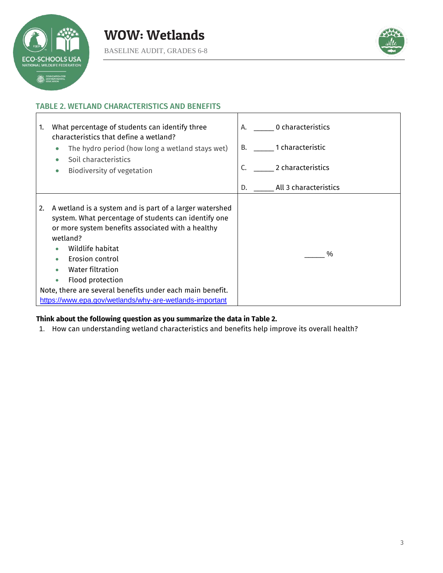



٦

#### TABLE 2. WETLAND CHARACTERISTICS AND BENEFITS

| What percentage of students can identify three<br>1.<br>characteristics that define a wetland?<br>The hydro period (how long a wetland stays wet)<br>$\bullet$<br>Soil characteristics<br>Biodiversity of vegetation<br>$\bullet$                                                                                                                                                                          | A. 0 characteristics<br>1 characteristic<br>B.<br>2 characteristics<br>C. |
|------------------------------------------------------------------------------------------------------------------------------------------------------------------------------------------------------------------------------------------------------------------------------------------------------------------------------------------------------------------------------------------------------------|---------------------------------------------------------------------------|
|                                                                                                                                                                                                                                                                                                                                                                                                            | All 3 characteristics<br>D.                                               |
| A wetland is a system and is part of a larger watershed<br>2.<br>system. What percentage of students can identify one<br>or more system benefits associated with a healthy<br>wetland?<br>Wildlife habitat<br>Erosion control<br>Water filtration<br>Flood protection<br>$\bullet$<br>Note, there are several benefits under each main benefit.<br>https://www.epa.gov/wetlands/why-are-wetlands-important | %                                                                         |

# **Think about the following question as you summarize the data in Table 2.**

1. How can understanding wetland characteristics and benefits help improve its overall health?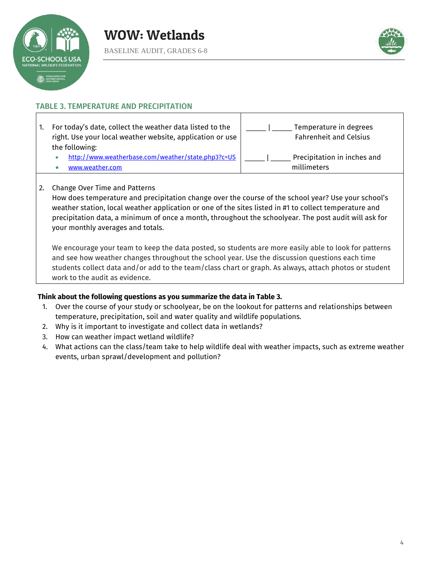



#### TABLE 3. TEMPERATURE AND PRECIPITATION

1. For today's date, collect the weather data listed to the right. Use your local weather website, application or use the following: <http://www.weatherbase.com/weather/state.php3?c=US> [www.weather.com](http://www.weather.com/) Temperature in degrees Fahrenheit and Celsius Precipitation in inches and millimeters

#### 2. Change Over Time and Patterns

How does temperature and precipitation change over the course of the school year? Use your school's weather station, local weather application or one of the sites listed in #1 to collect temperature and precipitation data, a minimum of once a month, throughout the schoolyear. The post audit will ask for your monthly averages and totals.

We encourage your team to keep the data posted, so students are more easily able to look for patterns and see how weather changes throughout the school year. Use the discussion questions each time students collect data and/or add to the team/class chart or graph. As always, attach photos or student work to the audit as evidence.

## **Think about the following questions as you summarize the data in Table 3.**

- 1. Over the course of your study or schoolyear, be on the lookout for patterns and relationships between temperature, precipitation, soil and water quality and wildlife populations.
- 2. Why is it important to investigate and collect data in wetlands?
- 3. How can weather impact wetland wildlife?
- 4. What actions can the class/team take to help wildlife deal with weather impacts, such as extreme weather events, urban sprawl/development and pollution?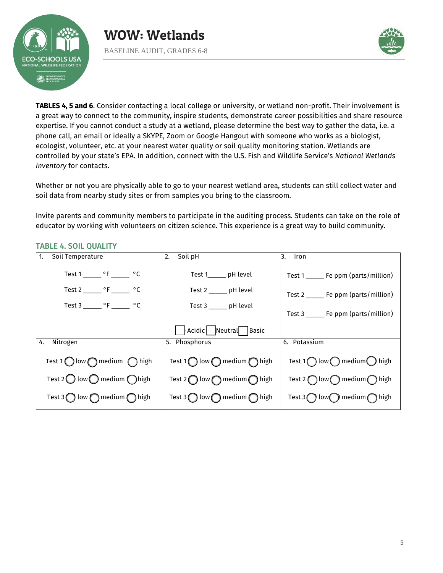



**TABLES 4, 5 and 6**. Consider contacting a local college or university, or wetland non-profit. Their involvement is a great way to connect to the community, inspire students, demonstrate career possibilities and share resource expertise. If you cannot conduct a study at a wetland, please determine the best way to gather the data, i.e. a phone call, an email or ideally a SKYPE, Zoom or Google Hangout with someone who works as a biologist, ecologist, volunteer, etc. at your nearest water quality or soil quality monitoring station. Wetlands are controlled by your state's EPA. In addition, connect with the U.S. Fish and Wildlife Service's *National Wetlands Inventory* for contacts.

Whether or not you are physically able to go to your nearest wetland area, students can still collect water and soil data from nearby study sites or from samples you bring to the classroom.

Invite parents and community members to participate in the auditing process. Students can take on the role of educator by working with volunteers on citizen science. This experience is a great way to build community.

|  | <b>TABLE 4. SOIL QUALITY</b> |  |
|--|------------------------------|--|
|  |                              |  |

| Soil Temperature<br>$\overline{1}$ .                    | Soil pH<br>2.                                           | 3.<br>Iron                                             |
|---------------------------------------------------------|---------------------------------------------------------|--------------------------------------------------------|
| Test $1 \_ {\text{max}}$ °F _______ °C                  | Test 1 pH level                                         | Test 1 ______ Fe ppm (parts/million)                   |
| Test 2 _______ $\circ$ F _______ $\circ$ C              | Test 2 _______ pH level                                 | Test 2 _______ Fe ppm (parts/million)                  |
|                                                         | Test 3 ______ pH level                                  | Test 3 _______ Fe ppm (parts/million)                  |
|                                                         | Acidic Neutral<br>Basic                                 |                                                        |
| Nitrogen<br>4.                                          | 5. Phosphorus                                           | 6. Potassium                                           |
| Test 1 $\bigcirc$ low $\bigcirc$ medium $\bigcirc$ high | Test 1 $\bigcirc$ low $\bigcirc$ medium $\bigcirc$ high | Test 1 $\bigcap$ low $\bigcap$ medium $\bigcap$ high   |
| Test 2 $\bigcirc$ low $\bigcirc$ medium $\bigcirc$ high | Test 2 $\bigcirc$ low $\bigcirc$ medium $\bigcirc$ high | Test 2 ( $\bigcap$ low $\bigcap$ medium $\bigcap$ high |
| Test $3\bigcirc$ low $\bigcirc$ medium $\bigcirc$ high  | Test $3\bigcirc$ low $\bigcirc$ medium $\bigcirc$ high  | Test $3$ ( ) low medium high                           |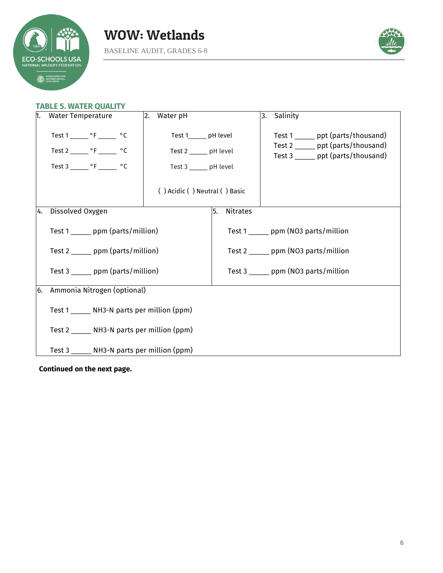



# **TABLE 5. WATER QUALITY**

| h. | <b>Water Temperature</b>                                                                                                                                                                                                                                  | 2.<br>Water pH                                                      |                       | Salinity<br>3.                                                                                                 |  |
|----|-----------------------------------------------------------------------------------------------------------------------------------------------------------------------------------------------------------------------------------------------------------|---------------------------------------------------------------------|-----------------------|----------------------------------------------------------------------------------------------------------------|--|
|    | Test $1 \_ {\text{C}}$ $\degree$ F $\_ {\text{C}}$<br>Test 2 _______ $\circ$ F _______ $\circ$ C<br>Test $3 \_ {\_ {\_ {\_ {\_ {\_ {\_ }}}}}\circ {\_ {\_ {\_ {\_ {\_ {\_ {\_ }}}}}}} \circ {\_ {\_ {\_ {\_ {\_ {\_ }}}}}\circ {\_ {\_ {\_ {\_ {\_ }}}}}$ | Test 1 pH level<br>Test 2 ______ pH level<br>Test 3 ______ pH level |                       | Test 1 ______ ppt (parts/thousand)<br>Test 2 ______ ppt (parts/thousand)<br>Test 3 ______ ppt (parts/thousand) |  |
|    |                                                                                                                                                                                                                                                           | () Acidic () Neutral () Basic                                       |                       |                                                                                                                |  |
| 4. | Dissolved Oxygen                                                                                                                                                                                                                                          |                                                                     | 5.<br><b>Nitrates</b> |                                                                                                                |  |
|    | Test 1 _______ ppm (parts/million)                                                                                                                                                                                                                        |                                                                     |                       | Test 1 _______ ppm (NO3 parts/million                                                                          |  |
|    | Test 2 _______ ppm (parts/million)                                                                                                                                                                                                                        |                                                                     |                       | Test $2 \_\_\_$ ppm (NO3 parts/million                                                                         |  |
|    | Test 3 ______ ppm (parts/million)                                                                                                                                                                                                                         |                                                                     |                       | Test $3 \_\_\_$ ppm (NO3 parts/million                                                                         |  |
| 6. | Ammonia Nitrogen (optional)                                                                                                                                                                                                                               |                                                                     |                       |                                                                                                                |  |
|    | Test 1 _______ NH3-N parts per million (ppm)                                                                                                                                                                                                              |                                                                     |                       |                                                                                                                |  |
|    | Test 2 _______ NH3-N parts per million (ppm)                                                                                                                                                                                                              |                                                                     |                       |                                                                                                                |  |
|    | Test 3 ______ NH3-N parts per million (ppm)                                                                                                                                                                                                               |                                                                     |                       |                                                                                                                |  |

**Continued on the next page.**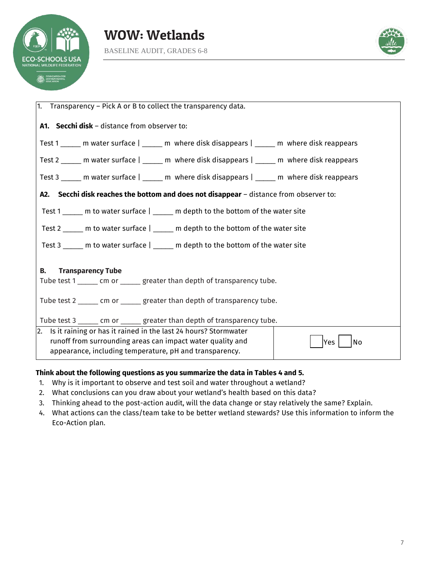





| $\vert$ 1. Transparency – Pick A or B to collect the transparency data.                                                                                                                                   |  |  |  |
|-----------------------------------------------------------------------------------------------------------------------------------------------------------------------------------------------------------|--|--|--|
| A1. Secchi disk - distance from observer to:                                                                                                                                                              |  |  |  |
| Test 1 ______ m water surface   _____ m where disk disappears   _____ m where disk reappears                                                                                                              |  |  |  |
| Test 2 _____ m water surface   _____ m where disk disappears   _____ m where disk reappears                                                                                                               |  |  |  |
| Test 3 ______ m water surface   ______ m where disk disappears   ______ m where disk reappears                                                                                                            |  |  |  |
| A2. Secchi disk reaches the bottom and does not disappear - distance from observer to:                                                                                                                    |  |  |  |
| Test 1 _____ m to water surface   _____ m depth to the bottom of the water site                                                                                                                           |  |  |  |
| Test 2 _____ m to water surface   _____ m depth to the bottom of the water site                                                                                                                           |  |  |  |
| Test 3 _____ m to water surface   _____ m depth to the bottom of the water site                                                                                                                           |  |  |  |
| <b>B.</b><br><b>Transparency Tube</b>                                                                                                                                                                     |  |  |  |
| Tube test 1 ______ cm or ______ greater than depth of transparency tube.                                                                                                                                  |  |  |  |
| Tube test 2 ______ cm or ______ greater than depth of transparency tube.                                                                                                                                  |  |  |  |
| Tube test 3 ______ cm or ______ greater than depth of transparency tube.                                                                                                                                  |  |  |  |
| 2. Is it raining or has it rained in the last 24 hours? Stormwater<br>runoff from surrounding areas can impact water quality and<br>lYes<br>No<br>appearance, including temperature, pH and transparency. |  |  |  |

## **Think about the following questions as you summarize the data in Tables 4 and 5.**

- 1. Why is it important to observe and test soil and water throughout a wetland?
- 2. What conclusions can you draw about your wetland's health based on this data?
- 3. Thinking ahead to the post-action audit, will the data change or stay relatively the same? Explain.
- 4. What actions can the class/team take to be better wetland stewards? Use this information to inform the Eco-Action plan.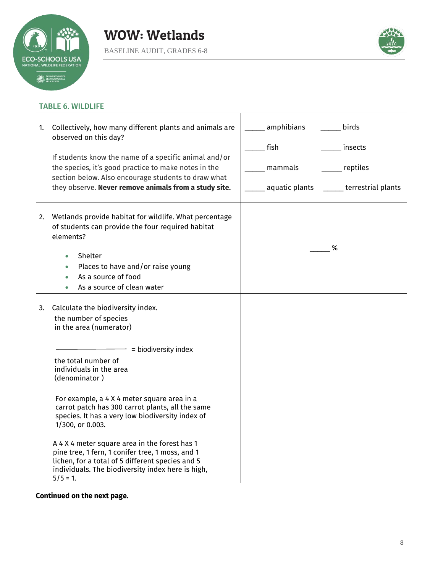

 $\mathbf{r}$ 



 $\overline{\mathbf{1}}$ 

# TABLE 6. WILDLIFE

| 1. | Collectively, how many different plants and animals are<br>observed on this day?<br>If students know the name of a specific animal and/or<br>the species, it's good practice to make notes in the<br>section below. Also encourage students to draw what<br>they observe. Never remove animals from a study site.                                     | amphibians<br>birds<br>fish<br>insects<br>reptiles<br>mammals<br>aquatic plants<br>______ terrestrial plants |
|----|-------------------------------------------------------------------------------------------------------------------------------------------------------------------------------------------------------------------------------------------------------------------------------------------------------------------------------------------------------|--------------------------------------------------------------------------------------------------------------|
|    |                                                                                                                                                                                                                                                                                                                                                       |                                                                                                              |
| 2. | Wetlands provide habitat for wildlife. What percentage<br>of students can provide the four required habitat<br>elements?                                                                                                                                                                                                                              |                                                                                                              |
|    | Shelter<br>$\bullet$                                                                                                                                                                                                                                                                                                                                  | %                                                                                                            |
|    | Places to have and/or raise young<br>$\bullet$                                                                                                                                                                                                                                                                                                        |                                                                                                              |
|    | As a source of food                                                                                                                                                                                                                                                                                                                                   |                                                                                                              |
|    | As a source of clean water                                                                                                                                                                                                                                                                                                                            |                                                                                                              |
| 3. | Calculate the biodiversity index.<br>the number of species<br>in the area (numerator)<br>= biodiversity index<br>the total number of<br>individuals in the area<br>(denominator)<br>For example, a 4 X 4 meter square area in a                                                                                                                       |                                                                                                              |
|    | carrot patch has 300 carrot plants, all the same<br>species. It has a very low biodiversity index of<br>1/300, or 0.003.<br>A 4 X 4 meter square area in the forest has 1<br>pine tree, 1 fern, 1 conifer tree, 1 moss, and 1<br>lichen, for a total of 5 different species and 5<br>individuals. The biodiversity index here is high,<br>$5/5 = 1$ . |                                                                                                              |

T

# **Continued on the next page.**